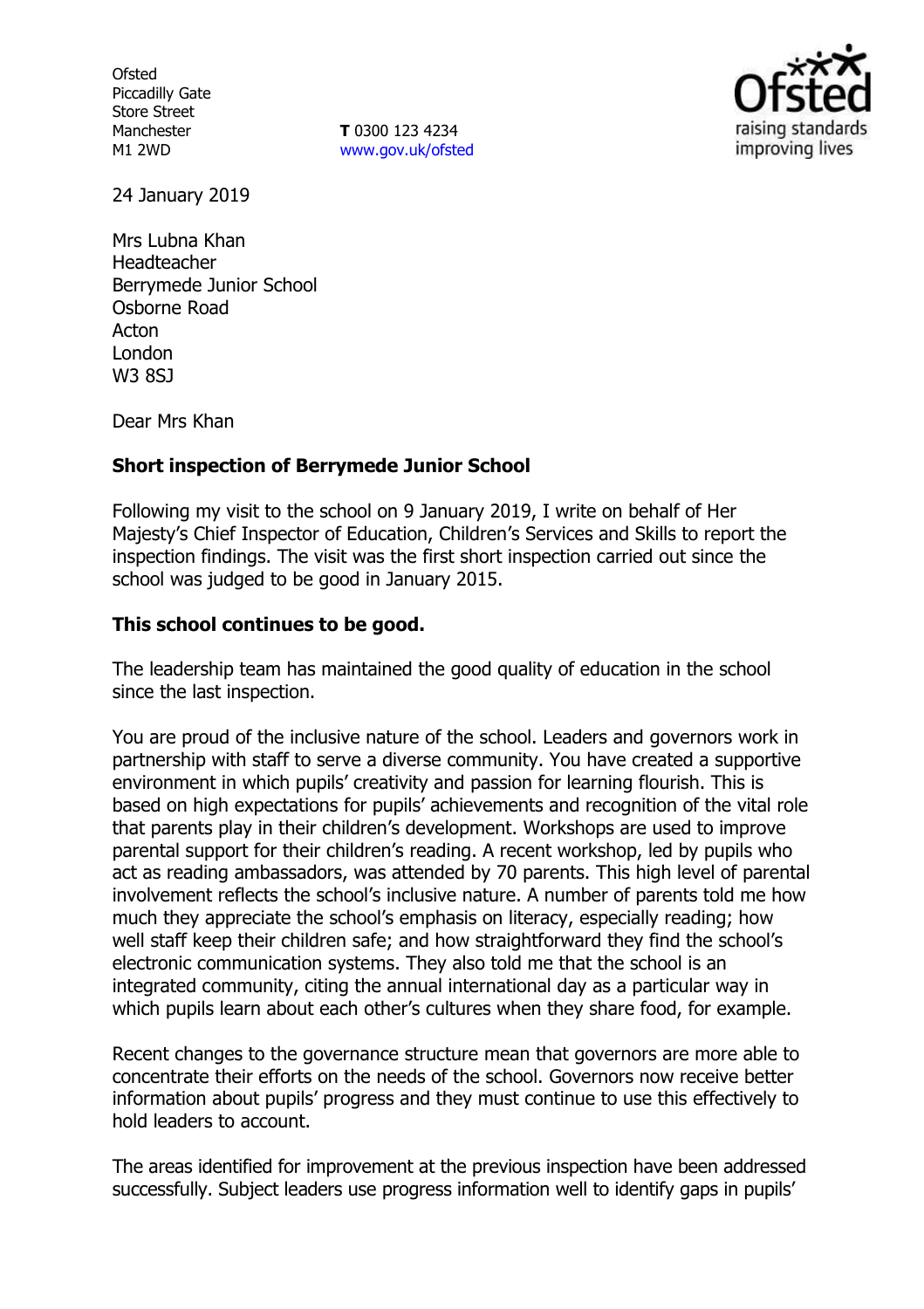**Ofsted** Piccadilly Gate Store Street Manchester M1 2WD

**T** 0300 123 4234 www.gov.uk/ofsted



24 January 2019

Mrs Lubna Khan Headteacher Berrymede Junior School Osborne Road Acton London W3 8SJ

Dear Mrs Khan

### **Short inspection of Berrymede Junior School**

Following my visit to the school on 9 January 2019, I write on behalf of Her Majesty's Chief Inspector of Education, Children's Services and Skills to report the inspection findings. The visit was the first short inspection carried out since the school was judged to be good in January 2015.

#### **This school continues to be good.**

The leadership team has maintained the good quality of education in the school since the last inspection.

You are proud of the inclusive nature of the school. Leaders and governors work in partnership with staff to serve a diverse community. You have created a supportive environment in which pupils' creativity and passion for learning flourish. This is based on high expectations for pupils' achievements and recognition of the vital role that parents play in their children's development. Workshops are used to improve parental support for their children's reading. A recent workshop, led by pupils who act as reading ambassadors, was attended by 70 parents. This high level of parental involvement reflects the school's inclusive nature. A number of parents told me how much they appreciate the school's emphasis on literacy, especially reading; how well staff keep their children safe; and how straightforward they find the school's electronic communication systems. They also told me that the school is an integrated community, citing the annual international day as a particular way in which pupils learn about each other's cultures when they share food, for example.

Recent changes to the governance structure mean that governors are more able to concentrate their efforts on the needs of the school. Governors now receive better information about pupils' progress and they must continue to use this effectively to hold leaders to account.

The areas identified for improvement at the previous inspection have been addressed successfully. Subject leaders use progress information well to identify gaps in pupils'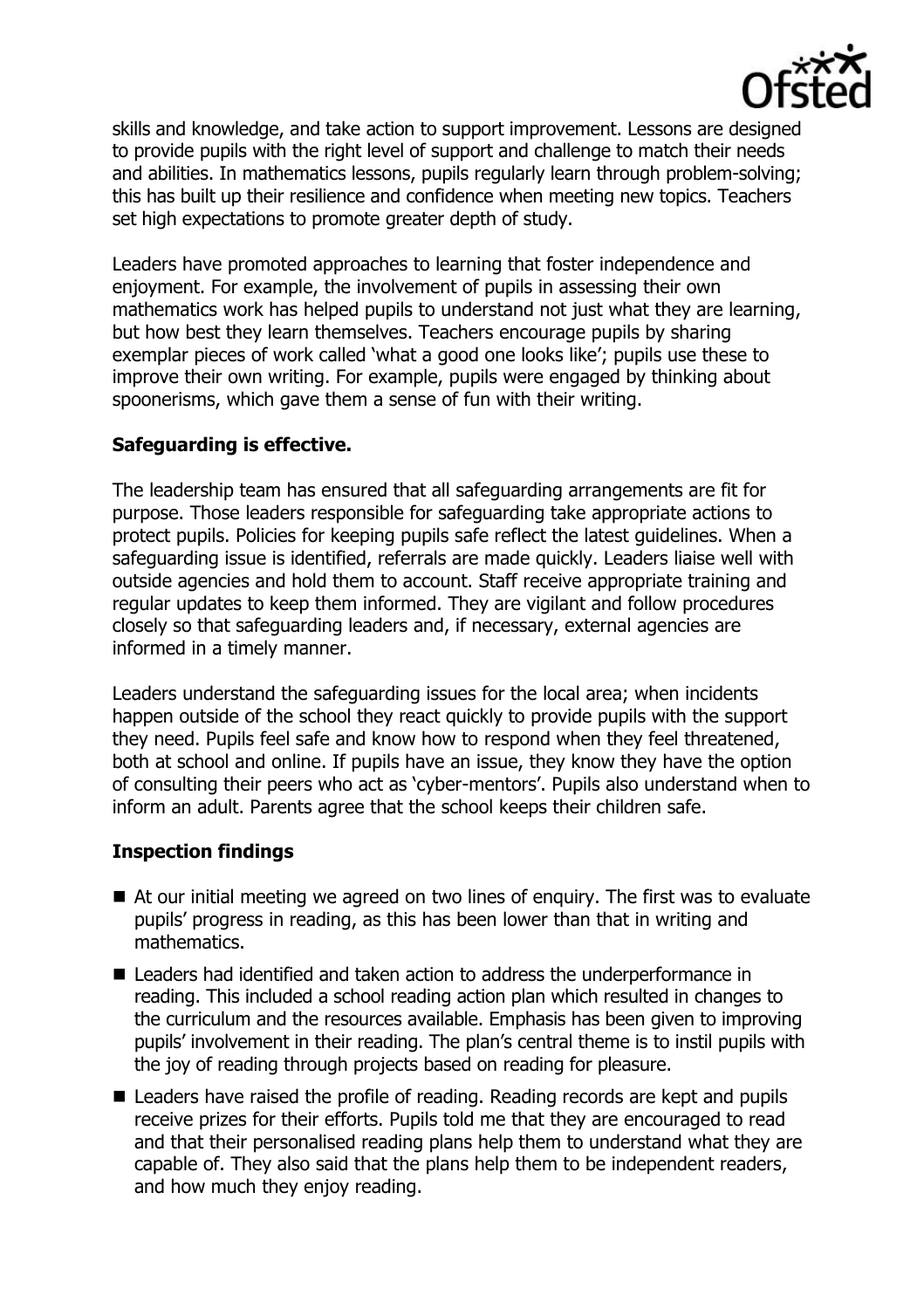

skills and knowledge, and take action to support improvement. Lessons are designed to provide pupils with the right level of support and challenge to match their needs and abilities. In mathematics lessons, pupils regularly learn through problem-solving; this has built up their resilience and confidence when meeting new topics. Teachers set high expectations to promote greater depth of study.

Leaders have promoted approaches to learning that foster independence and enjoyment. For example, the involvement of pupils in assessing their own mathematics work has helped pupils to understand not just what they are learning, but how best they learn themselves. Teachers encourage pupils by sharing exemplar pieces of work called 'what a good one looks like'; pupils use these to improve their own writing. For example, pupils were engaged by thinking about spoonerisms, which gave them a sense of fun with their writing.

## **Safeguarding is effective.**

The leadership team has ensured that all safeguarding arrangements are fit for purpose. Those leaders responsible for safeguarding take appropriate actions to protect pupils. Policies for keeping pupils safe reflect the latest guidelines. When a safeguarding issue is identified, referrals are made quickly. Leaders liaise well with outside agencies and hold them to account. Staff receive appropriate training and regular updates to keep them informed. They are vigilant and follow procedures closely so that safeguarding leaders and, if necessary, external agencies are informed in a timely manner.

Leaders understand the safeguarding issues for the local area; when incidents happen outside of the school they react quickly to provide pupils with the support they need. Pupils feel safe and know how to respond when they feel threatened, both at school and online. If pupils have an issue, they know they have the option of consulting their peers who act as 'cyber-mentors'. Pupils also understand when to inform an adult. Parents agree that the school keeps their children safe.

# **Inspection findings**

- At our initial meeting we agreed on two lines of enquiry. The first was to evaluate pupils' progress in reading, as this has been lower than that in writing and mathematics.
- Leaders had identified and taken action to address the underperformance in reading. This included a school reading action plan which resulted in changes to the curriculum and the resources available. Emphasis has been given to improving pupils' involvement in their reading. The plan's central theme is to instil pupils with the joy of reading through projects based on reading for pleasure.
- Leaders have raised the profile of reading. Reading records are kept and pupils receive prizes for their efforts. Pupils told me that they are encouraged to read and that their personalised reading plans help them to understand what they are capable of. They also said that the plans help them to be independent readers, and how much they enjoy reading.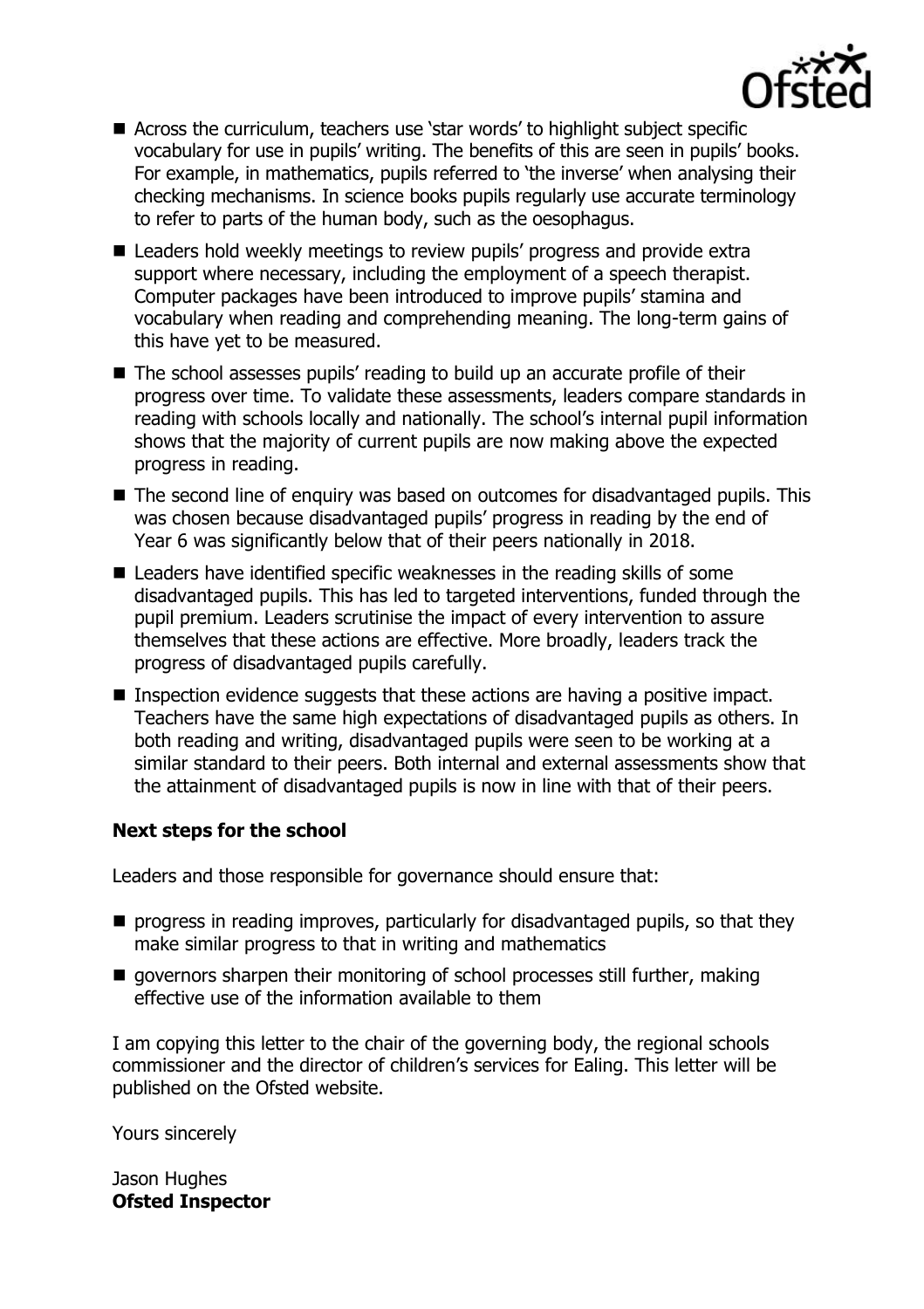

- Across the curriculum, teachers use 'star words' to highlight subject specific vocabulary for use in pupils' writing. The benefits of this are seen in pupils' books. For example, in mathematics, pupils referred to 'the inverse' when analysing their checking mechanisms. In science books pupils regularly use accurate terminology to refer to parts of the human body, such as the oesophagus.
- Leaders hold weekly meetings to review pupils' progress and provide extra support where necessary, including the employment of a speech therapist. Computer packages have been introduced to improve pupils' stamina and vocabulary when reading and comprehending meaning. The long-term gains of this have yet to be measured.
- The school assesses pupils' reading to build up an accurate profile of their progress over time. To validate these assessments, leaders compare standards in reading with schools locally and nationally. The school's internal pupil information shows that the majority of current pupils are now making above the expected progress in reading.
- The second line of enquiry was based on outcomes for disadvantaged pupils. This was chosen because disadvantaged pupils' progress in reading by the end of Year 6 was significantly below that of their peers nationally in 2018.
- $\blacksquare$  Leaders have identified specific weaknesses in the reading skills of some disadvantaged pupils. This has led to targeted interventions, funded through the pupil premium. Leaders scrutinise the impact of every intervention to assure themselves that these actions are effective. More broadly, leaders track the progress of disadvantaged pupils carefully.
- Inspection evidence suggests that these actions are having a positive impact. Teachers have the same high expectations of disadvantaged pupils as others. In both reading and writing, disadvantaged pupils were seen to be working at a similar standard to their peers. Both internal and external assessments show that the attainment of disadvantaged pupils is now in line with that of their peers.

### **Next steps for the school**

Leaders and those responsible for governance should ensure that:

- $\blacksquare$  progress in reading improves, particularly for disadvantaged pupils, so that they make similar progress to that in writing and mathematics
- $\blacksquare$  governors sharpen their monitoring of school processes still further, making effective use of the information available to them

I am copying this letter to the chair of the governing body, the regional schools commissioner and the director of children's services for Ealing. This letter will be published on the Ofsted website.

Yours sincerely

Jason Hughes **Ofsted Inspector**